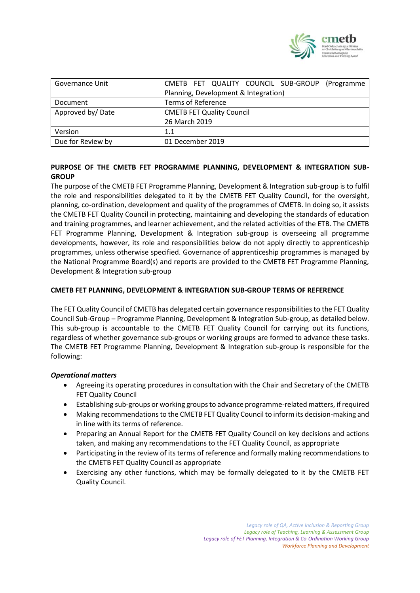

| Governance Unit   | CMETB FET QUALITY COUNCIL SUB-GROUP<br>(Programme) |
|-------------------|----------------------------------------------------|
|                   | Planning, Development & Integration)               |
| Document          | <b>Terms of Reference</b>                          |
| Approved by/Date  | <b>CMETB FET Quality Council</b>                   |
|                   | 26 March 2019                                      |
| Version           | 1.1                                                |
| Due for Review by | 01 December 2019                                   |

## **PURPOSE OF THE CMETB FET PROGRAMME PLANNING, DEVELOPMENT & INTEGRATION SUB-GROUP**

The purpose of the CMETB FET Programme Planning, Development & Integration sub-group is to fulfil the role and responsibilities delegated to it by the CMETB FET Quality Council, for the oversight, planning, co-ordination, development and quality of the programmes of CMETB. In doing so, it assists the CMETB FET Quality Council in protecting, maintaining and developing the standards of education and training programmes, and learner achievement, and the related activities of the ETB. The CMETB FET Programme Planning, Development & Integration sub-group is overseeing all programme developments, however, its role and responsibilities below do not apply directly to apprenticeship programmes, unless otherwise specified. Governance of apprenticeship programmes is managed by the National Programme Board(s) and reports are provided to the CMETB FET Programme Planning, Development & Integration sub-group

### **CMETB FET PLANNING, DEVELOPMENT & INTEGRATION SUB-GROUP TERMS OF REFERENCE**

The FET Quality Council of CMETB has delegated certain governance responsibilities to the FET Quality Council Sub-Group – Programme Planning, Development & Integration Sub-group, as detailed below. This sub-group is accountable to the CMETB FET Quality Council for carrying out its functions, regardless of whether governance sub-groups or working groups are formed to advance these tasks. The CMETB FET Programme Planning, Development & Integration sub-group is responsible for the following:

## *Operational matters*

- Agreeing its operating procedures in consultation with the Chair and Secretary of the CMETB FET Quality Council
- Establishing sub-groups or working groups to advance programme-related matters, if required
- Making recommendations to the CMETB FET Quality Council to inform its decision-making and in line with its terms of reference.
- Preparing an Annual Report for the CMETB FET Quality Council on key decisions and actions taken, and making any recommendations to the FET Quality Council, as appropriate
- Participating in the review of its terms of reference and formally making recommendations to the CMETB FET Quality Council as appropriate
- Exercising any other functions, which may be formally delegated to it by the CMETB FET Quality Council.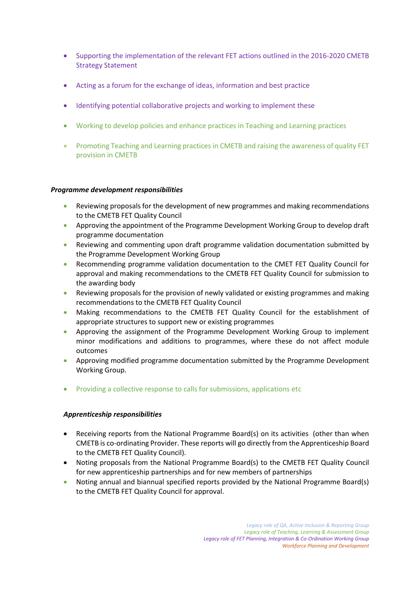- Supporting the implementation of the relevant FET actions outlined in the 2016-2020 CMETB Strategy Statement
- Acting as a forum for the exchange of ideas, information and best practice
- Identifying potential collaborative projects and working to implement these
- Working to develop policies and enhance practices in Teaching and Learning practices
- Promoting Teaching and Learning practices in CMETB and raising the awareness of quality FET provision in CMETB

### *Programme development responsibilities*

- Reviewing proposals for the development of new programmes and making recommendations to the CMETB FET Quality Council
- Approving the appointment of the Programme Development Working Group to develop draft programme documentation
- Reviewing and commenting upon draft programme validation documentation submitted by the Programme Development Working Group
- Recommending programme validation documentation to the CMET FET Quality Council for approval and making recommendations to the CMETB FET Quality Council for submission to the awarding body
- Reviewing proposals for the provision of newly validated or existing programmes and making recommendations to the CMETB FET Quality Council
- Making recommendations to the CMETB FET Quality Council for the establishment of appropriate structures to support new or existing programmes
- Approving the assignment of the Programme Development Working Group to implement minor modifications and additions to programmes, where these do not affect module outcomes
- Approving modified programme documentation submitted by the Programme Development Working Group.
- Providing a collective response to calls for submissions, applications etc

#### *Apprenticeship responsibilities*

- Receiving reports from the National Programme Board(s) on its activities (other than when CMETB is co-ordinating Provider. These reports will go directly from the Apprenticeship Board to the CMETB FET Quality Council).
- Noting proposals from the National Programme Board(s) to the CMETB FET Quality Council for new apprenticeship partnerships and for new members of partnerships
- Noting annual and biannual specified reports provided by the National Programme Board(s) to the CMETB FET Quality Council for approval.